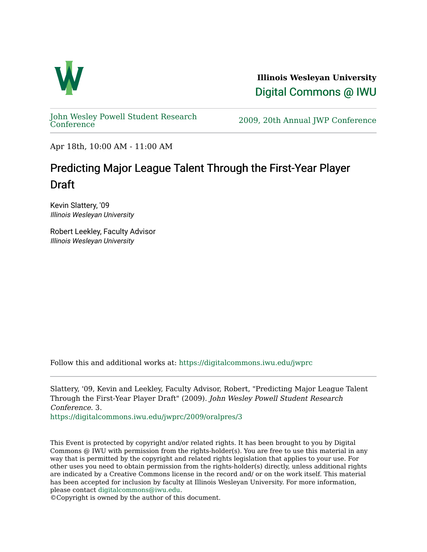

**Illinois Wesleyan University**  [Digital Commons @ IWU](https://digitalcommons.iwu.edu/) 

[John Wesley Powell Student Research](https://digitalcommons.iwu.edu/jwprc) 

2009, 20th Annual JWP [Conference](https://digitalcommons.iwu.edu/jwprc)

Apr 18th, 10:00 AM - 11:00 AM

## Predicting Major League Talent Through the First-Year Player **Draft**

Kevin Slattery, '09 Illinois Wesleyan University

Robert Leekley, Faculty Advisor Illinois Wesleyan University

Follow this and additional works at: [https://digitalcommons.iwu.edu/jwprc](https://digitalcommons.iwu.edu/jwprc?utm_source=digitalcommons.iwu.edu%2Fjwprc%2F2009%2Foralpres%2F3&utm_medium=PDF&utm_campaign=PDFCoverPages) 

Slattery, '09, Kevin and Leekley, Faculty Advisor, Robert, "Predicting Major League Talent Through the First-Year Player Draft" (2009). John Wesley Powell Student Research Conference. 3.

[https://digitalcommons.iwu.edu/jwprc/2009/oralpres/3](https://digitalcommons.iwu.edu/jwprc/2009/oralpres/3?utm_source=digitalcommons.iwu.edu%2Fjwprc%2F2009%2Foralpres%2F3&utm_medium=PDF&utm_campaign=PDFCoverPages) 

This Event is protected by copyright and/or related rights. It has been brought to you by Digital Commons @ IWU with permission from the rights-holder(s). You are free to use this material in any way that is permitted by the copyright and related rights legislation that applies to your use. For other uses you need to obtain permission from the rights-holder(s) directly, unless additional rights are indicated by a Creative Commons license in the record and/ or on the work itself. This material has been accepted for inclusion by faculty at Illinois Wesleyan University. For more information, please contact [digitalcommons@iwu.edu.](mailto:digitalcommons@iwu.edu)

©Copyright is owned by the author of this document.